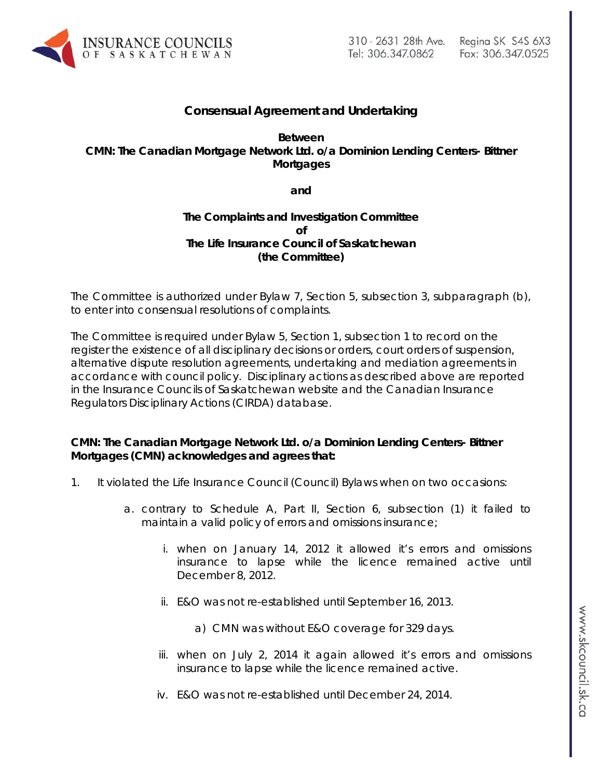

# **Consensual Agreement and Undertaking**

**Between CMN: The Canadian Mortgage Network Ltd. o/a Dominion Lending Centers- Bittner Mortgages** 

**and**

# **The Complaints and Investigation Committee of The Life Insurance Council of Saskatchewan (the Committee)**

The Committee is authorized under Bylaw 7, Section 5, subsection 3, subparagraph (b), to enter into consensual resolutions of complaints.

The Committee is required under Bylaw 5, Section 1, subsection 1 to record on the register the existence of all disciplinary decisions or orders, court orders of suspension, alternative dispute resolution agreements, undertaking and mediation agreements in accordance with council policy. Disciplinary actions as described above are reported in the Insurance Councils of Saskatchewan website and the Canadian Insurance Regulators Disciplinary Actions (CIRDA) database.

# **CMN: The Canadian Mortgage Network Ltd. o/a Dominion Lending Centers- Bittner Mortgages (CMN) acknowledges and agrees that:**

- 1. It violated the Life Insurance Council (Council) Bylaws when on two occasions:
	- a. contrary to Schedule A, Part II, Section 6, subsection (1) it failed to maintain a valid policy of errors and omissions insurance;
		- i. when on January 14, 2012 it allowed it's errors and omissions insurance to lapse while the licence remained active until December 8, 2012.
		- ii. E&O was not re-established until September 16, 2013.
			- a) CMN was without E&O coverage for 329 days.
		- iii. when on July 2, 2014 it again allowed it's errors and omissions insurance to lapse while the licence remained active.
		- iv. E&O was not re-established until December 24, 2014.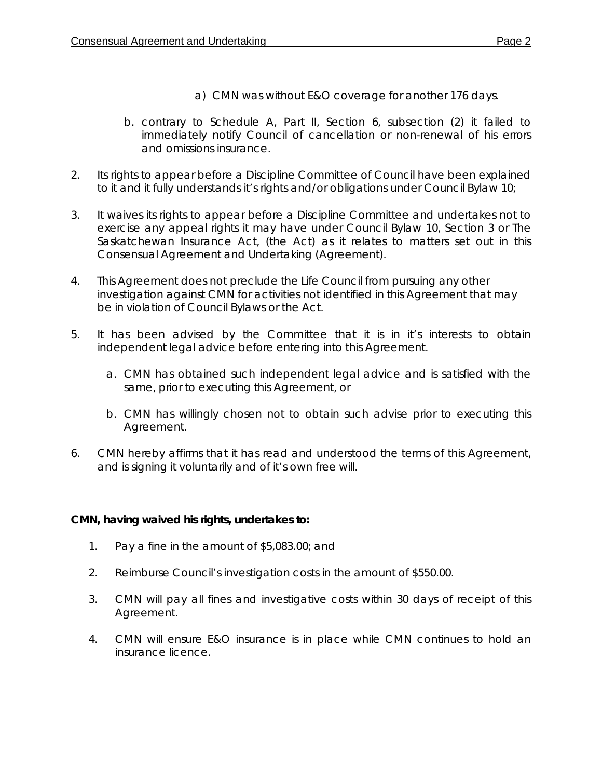- a) CMN was without E&O coverage for another 176 days.
- b. contrary to Schedule A, Part II, Section 6, subsection (2) it failed to immediately notify Council of cancellation or non-renewal of his errors and omissions insurance.
- 2. Its rights to appear before a Discipline Committee of Council have been explained to it and it fully understands it's rights and/or obligations under Council Bylaw 10;
- 3. It waives its rights to appear before a Discipline Committee and undertakes not to exercise any appeal rights it may have under Council Bylaw 10, Section 3 or *The Saskatchewan Insurance Act,* (the Act) as it relates to matters set out in this Consensual Agreement and Undertaking (Agreement).
- 4. This Agreement does not preclude the Life Council from pursuing any other investigation against CMN for activities not identified in this Agreement that may be in violation of Council Bylaws or the Act.
- 5. It has been advised by the Committee that it is in it's interests to obtain independent legal advice before entering into this Agreement.
	- a. CMN has obtained such independent legal advice and is satisfied with the same, prior to executing this Agreement, or
	- b. CMN has willingly chosen not to obtain such advise prior to executing this Agreement.
- 6. CMN hereby affirms that it has read and understood the terms of this Agreement, and is signing it voluntarily and of it's own free will.

# **CMN, having waived his rights, undertakes to:**

- 1. Pay a fine in the amount of \$5,083.00; and
- 2. Reimburse Council's investigation costs in the amount of \$550.00.
- 3. CMN will pay all fines and investigative costs within 30 days of receipt of this Agreement.
- 4. CMN will ensure E&O insurance is in place while CMN continues to hold an insurance licence.